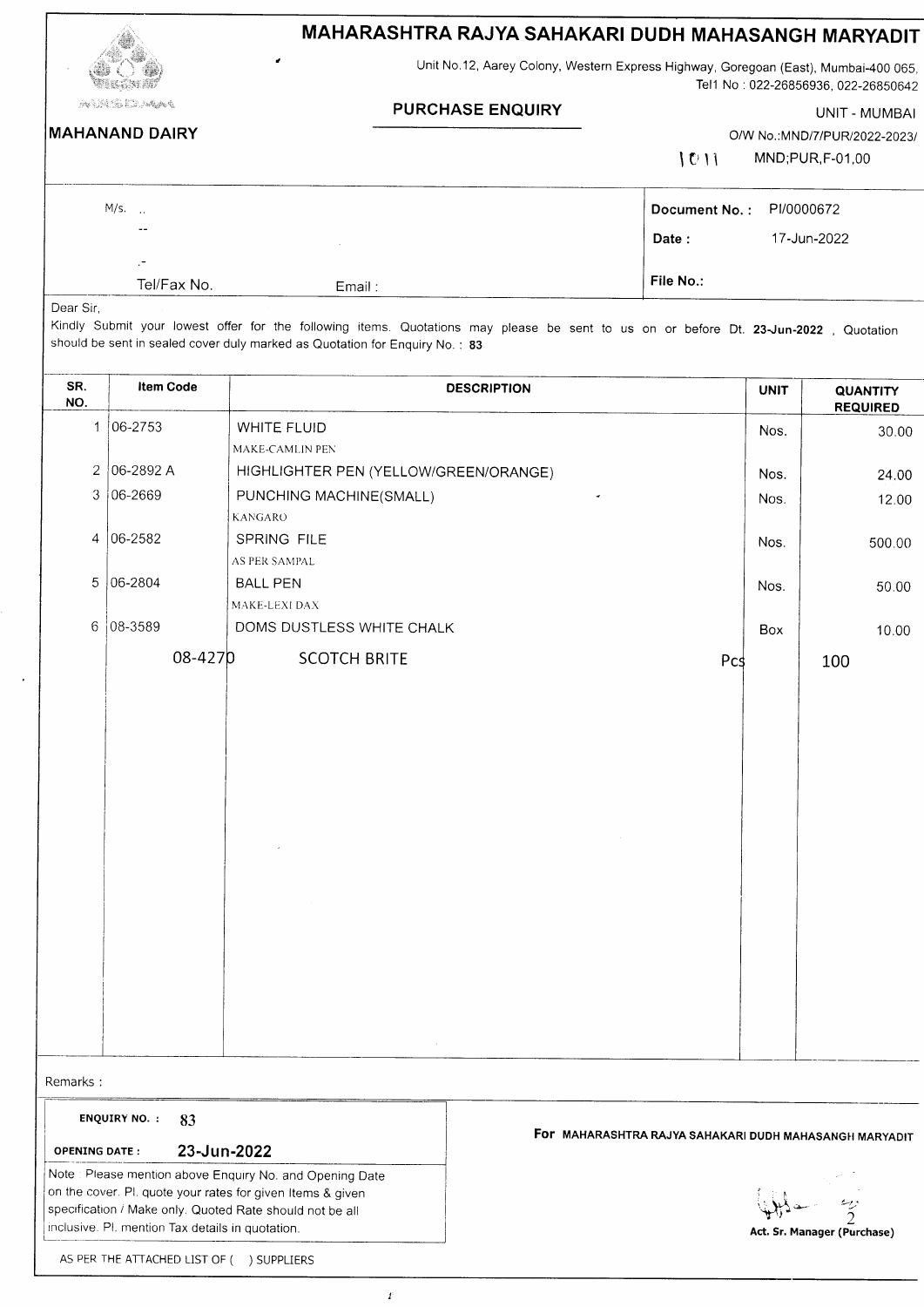|                                                    |                           |                                                                                                                                                                                                                     | MAHARASHTRA RAJYA SAHAKARI DUDH MAHASANGH MARYADIT                                  |                                                        |             |                                     |  |
|----------------------------------------------------|---------------------------|---------------------------------------------------------------------------------------------------------------------------------------------------------------------------------------------------------------------|-------------------------------------------------------------------------------------|--------------------------------------------------------|-------------|-------------------------------------|--|
|                                                    |                           |                                                                                                                                                                                                                     | Unit No.12, Aarey Colony, Western Express Highway, Goregoan (East), Mumbai-400 065, |                                                        |             | Tel1 No: 022-26856936, 022-26850642 |  |
| ٩ <del>٩٧ - ١٩٧٠ - ١٩٧٠ - ١٩٧٧ - ١٩٧٧ - ١٩٧٧</del> |                           |                                                                                                                                                                                                                     | <b>PURCHASE ENQUIRY</b>                                                             |                                                        |             | UNIT - MUMBAI                       |  |
| <b>MAHANAND DAIRY</b>                              |                           |                                                                                                                                                                                                                     |                                                                                     |                                                        |             | O/W No.:MND/7/PUR/2022-2023/        |  |
|                                                    |                           |                                                                                                                                                                                                                     |                                                                                     | 1011                                                   |             | MND;PUR,F-01,00                     |  |
|                                                    | M/s.                      |                                                                                                                                                                                                                     |                                                                                     | Document No.:                                          | PI/0000672  |                                     |  |
|                                                    |                           |                                                                                                                                                                                                                     |                                                                                     | Date:                                                  |             | 17-Jun-2022                         |  |
|                                                    | Tel/Fax No.               | Email:                                                                                                                                                                                                              |                                                                                     | File No.:                                              |             |                                     |  |
| Dear Sir,                                          |                           | Kindly Submit your lowest offer for the following items. Quotations may please be sent to us on or before Dt. 23-Jun-2022, Quotation<br>should be sent in sealed cover duly marked as Quotation for Enquiry No.: 83 |                                                                                     |                                                        |             |                                     |  |
| SR.<br>NO.                                         | <b>Item Code</b>          |                                                                                                                                                                                                                     | <b>DESCRIPTION</b>                                                                  |                                                        | <b>UNIT</b> | <b>QUANTITY</b><br><b>REQUIRED</b>  |  |
| 1                                                  | $ 06 - 2753$              | WHITE FLUID<br>MAKE-CAMLIN PEN                                                                                                                                                                                      |                                                                                     |                                                        | Nos.        | 30.00                               |  |
| 2                                                  | 06-2892 A                 | HIGHLIGHTER PEN (YELLOW/GREEN/ORANGE)                                                                                                                                                                               |                                                                                     |                                                        | Nos.        | 24.00                               |  |
| 3                                                  | $ 06 - 2669$              | PUNCHING MACHINE(SMALL)                                                                                                                                                                                             |                                                                                     |                                                        | Nos.        | 12.00                               |  |
|                                                    |                           | <b>KANGARO</b>                                                                                                                                                                                                      |                                                                                     |                                                        |             |                                     |  |
| 4                                                  | 06-2582                   | SPRING FILE                                                                                                                                                                                                         |                                                                                     |                                                        | Nos.        | 500.00                              |  |
| 5                                                  | 06-2804                   | AS PER SAMPAL<br><b>BALL PEN</b>                                                                                                                                                                                    |                                                                                     |                                                        |             |                                     |  |
|                                                    |                           | MAKE-LEXI DAX                                                                                                                                                                                                       |                                                                                     |                                                        | Nos.        | 50.00                               |  |
| 6                                                  | $ 08 - 3589$              | DOMS DUSTLESS WHITE CHALK                                                                                                                                                                                           |                                                                                     |                                                        | Box         | 10.00                               |  |
|                                                    | 08-4270                   | <b>SCOTCH BRITE</b>                                                                                                                                                                                                 |                                                                                     | Pcs                                                    |             | 100                                 |  |
|                                                    |                           |                                                                                                                                                                                                                     |                                                                                     |                                                        |             |                                     |  |
|                                                    |                           |                                                                                                                                                                                                                     |                                                                                     |                                                        |             |                                     |  |
|                                                    |                           |                                                                                                                                                                                                                     |                                                                                     |                                                        |             |                                     |  |
|                                                    |                           |                                                                                                                                                                                                                     |                                                                                     |                                                        |             |                                     |  |
|                                                    |                           |                                                                                                                                                                                                                     |                                                                                     |                                                        |             |                                     |  |
|                                                    |                           |                                                                                                                                                                                                                     |                                                                                     |                                                        |             |                                     |  |
|                                                    |                           |                                                                                                                                                                                                                     |                                                                                     |                                                        |             |                                     |  |
|                                                    |                           |                                                                                                                                                                                                                     |                                                                                     |                                                        |             |                                     |  |
|                                                    |                           |                                                                                                                                                                                                                     |                                                                                     |                                                        |             |                                     |  |
|                                                    |                           |                                                                                                                                                                                                                     |                                                                                     |                                                        |             |                                     |  |
|                                                    |                           |                                                                                                                                                                                                                     |                                                                                     |                                                        |             |                                     |  |
|                                                    |                           |                                                                                                                                                                                                                     |                                                                                     |                                                        |             |                                     |  |
|                                                    |                           |                                                                                                                                                                                                                     |                                                                                     |                                                        |             |                                     |  |
|                                                    |                           |                                                                                                                                                                                                                     |                                                                                     |                                                        |             |                                     |  |
| Remarks:                                           |                           |                                                                                                                                                                                                                     |                                                                                     |                                                        |             |                                     |  |
|                                                    | <b>ENQUIRY NO.:</b><br>83 |                                                                                                                                                                                                                     |                                                                                     | FOF MAHARASHTRA RAJYA SAHAKARI DUDH MAHASANGH MARYADIT |             |                                     |  |
| <b>OPENING DATE:</b>                               |                           | 23-Jun-2022                                                                                                                                                                                                         |                                                                                     |                                                        |             |                                     |  |
|                                                    |                           | Note: Please mention above Enquiry No. and Opening Date                                                                                                                                                             |                                                                                     |                                                        |             |                                     |  |
|                                                    |                           | on the cover. Pl. quote your rates for given Items & given                                                                                                                                                          |                                                                                     |                                                        |             |                                     |  |

| AS PER THE ATTACHED LIST OF ( ) SUPPLIERS |  |
|-------------------------------------------|--|

 $\boldsymbol{I}$ 

specification / Make only. Quoted Rate should not be all

inclusive. Pl. mention Tax details in quotation.

 $\ddot{\phantom{0}}$ 

 $\bigoplus_{i=1}^k$   $\bigoplus_{i=1}^k$  Act. Sr. Manager (Purchase)